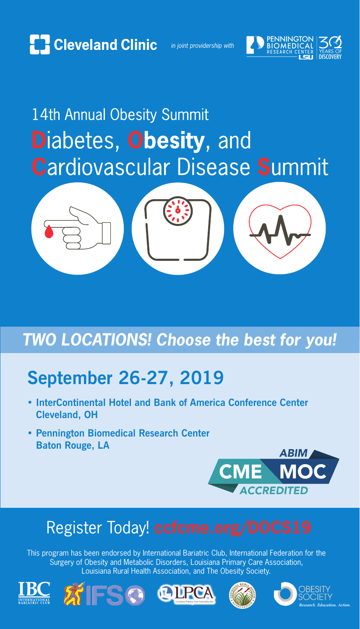

*in joint providership with*





## **September 26-27, 2019**

- **InterContinental Hotel and Bank of America Conference Center Cleveland, OH**
- **Pennington Biomedical Research Center Baton Rouge, LA**



## Register Today! **ccfcme.org/DOCS19**

This program has been endorsed by International Bariatric Club, International Federation for the Surgery of Obesity and Metabolic Disorders, Louisiana Primary Care Association, Louisiana Rural Health Association, and The Obesity Society.











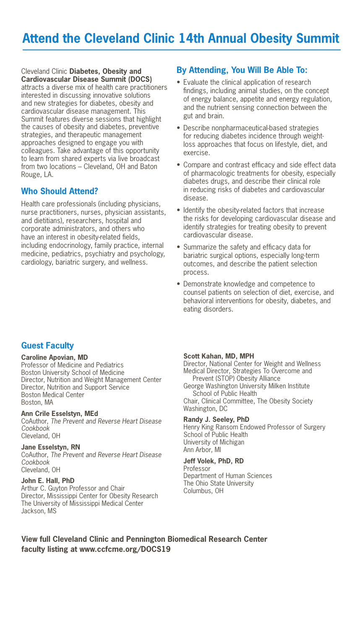Cleveland Clinic **Diabetes, Obesity and Cardiovascular Disease Summit (DOCS)** attracts a diverse mix of health care practitioners interested in discussing innovative solutions and new strategies for diabetes, obesity and cardiovascular disease management. This Summit features diverse sessions that highlight the causes of obesity and diabetes, preventive strategies, and therapeutic management approaches designed to engage you with colleagues. Take advantage of this opportunity to learn from shared experts via live broadcast from two locations – Cleveland, OH and Baton Rouge, LA.

#### **Who Should Attend?**

Health care professionals (including physicians, nurse practitioners, nurses, physician assistants, and dietitians), researchers, hospital and corporate administrators, and others who have an interest in obesity-related fields, including endocrinology, family practice, internal medicine, pediatrics, psychiatry and psychology, cardiology, bariatric surgery, and wellness.

#### **By Attending, You Will Be Able To:**

- Evaluate the clinical application of research findings, including animal studies, on the concept of energy balance, appetite and energy regulation, and the nutrient sensing connection between the gut and brain.
- Describe nonpharmaceutical-based strategies for reducing diabetes incidence through weightloss approaches that focus on lifestyle, diet, and exercise.
- Compare and contrast efficacy and side effect data of pharmacologic treatments for obesity, especially diabetes drugs, and describe their clinical role in reducing risks of diabetes and cardiovascular disease.
- Identify the obesity-related factors that increase the risks for developing cardiovascular disease and identify strategies for treating obesity to prevent cardiovascular disease.
- Summarize the safety and efficacy data for bariatric surgical options, especially long-term outcomes, and describe the patient selection process.
- • Demonstrate knowledge and competence to counsel patients on selection of diet, exercise, and behavioral interventions for obesity, diabetes, and eating disorders.

#### **Guest Faculty**

#### **Caroline Apovian, MD**

Professor of Medicine and Pediatrics Boston University School of Medicine Director, Nutrition and Weight Management Center Director, Nutrition and Support Service Boston Medical Center Boston, MA

#### **Ann Crile Esselstyn, MEd**

CoAuthor, *The Prevent and Reverse Heart Disease Cookbook* Cleveland, OH

#### **Jane Esselstyn, RN**

CoAuthor, *The Prevent and Reverse Heart Disease Cookbook* Cleveland, OH

#### **John E. Hall, PhD**

Arthur C. Guyton Professor and Chair Director, Mississippi Center for Obesity Research The University of Mississippi Medical Center Jackson, MS

#### **Scott Kahan, MD, MPH**

Director, National Center for Weight and Wellness Medical Director, Strategies To Overcome and Prevent (STOP) Obesity Alliance George Washington University Milken Institute School of Public Health Chair, Clinical Committee, The Obesity Society Washington, DC

#### **Randy J. Seeley, PhD**

Henry King Ransom Endowed Professor of Surgery School of Public Health University of Michigan Ann Arbor, MI

#### **Jeff Volek, PhD, RD**

Professor Department of Human Sciences The Ohio State University Columbus, OH

**View full Cleveland Clinic and Pennington Biomedical Research Center faculty listing at www.ccfcme.org/DOCS19**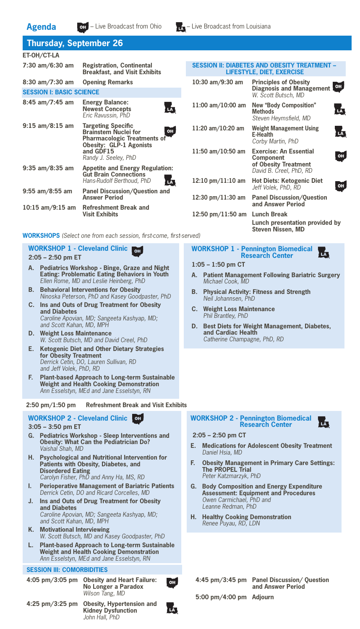

### **Thursday, September 26**

| ET-OH/CT-LA                       |                                                                                                                                                                                    |
|-----------------------------------|------------------------------------------------------------------------------------------------------------------------------------------------------------------------------------|
| 7:30 am/6:30 am                   | <b>Registration, Continental</b><br><b>Breakfast, and Visit Exhibits</b>                                                                                                           |
| 8:30 am/7:30 am                   | <b>Opening Remarks</b>                                                                                                                                                             |
| <b>SESSION I: BASIC SCIENCE</b>   |                                                                                                                                                                                    |
| $8:45$ am/7:45 am                 | <b>Energy Balance:</b><br><b>Newest Concepts</b><br>Eric Ravussin, PhD                                                                                                             |
| $9:15$ am/8:15 am                 | <b>Targeting Specific</b><br><b>OH</b><br><b>Brainstem Nuclei for</b><br><b>Pharmacologic Treatments of</b><br><b>Obesity: GLP-1 Agonists</b><br>and GDF15<br>Randy J. Seeley, PhD |
| $9:35 \text{ am}/8:35 \text{ am}$ | <b>Appetite and Energy Regulation:</b><br><b>Gut Brain Connections</b><br>Hans-Rudolf Berthoud, PhD                                                                                |
| $9:55$ am/8:55 am                 | <b>Panel Discussion/Question and</b><br><b>Answer Period</b>                                                                                                                       |
| $10:15$ am/9:15 am                | <b>Refreshment Break and</b><br><b>Visit Exhibits</b>                                                                                                                              |
|                                   |                                                                                                                                                                                    |

#### **SESSION II: DIABETES AND OBESITY TREATMENT – LIFESTYLE, DIET, EXERCISE**

| 10:30 am/9:30 am                    | <b>Principles of Obesity</b><br><b>Diagnosis and Management</b><br>W. Scott Butsch. MD        | OH |
|-------------------------------------|-----------------------------------------------------------------------------------------------|----|
| 11:00 am/10:00 am                   | <b>New "Body Composition"</b><br>Methods<br>Steven Heymsfield, MD                             |    |
| 11:20 $am/10:20$ am                 | Weight Management Using<br>E-Health<br>Corby Martin, PhD                                      | LĀ |
| 11:50 am/10:50 am                   | <b>Exercise: An Essential</b><br>Component<br>of Obesity Treatment<br>David B. Creel, PhD. RD | OH |
| $12:10 \text{ pm}/11:10 \text{ am}$ | <b>Hot Diets: Ketogenic Diet</b><br>Jeff Volek, PhD, RD                                       | OH |
| $12:30 \text{ pm}/11:30 \text{ am}$ | <b>Panel Discussion/Question</b><br>and Answer Period                                         |    |
| 12:50 pm/11:50 am                   | Lunch Break<br>Lunch presentation provided by<br><b>Steven Nissen, MD</b>                     |    |

**WORKSHOP 1 - Pennington Biomedical Research Center**

**B. Physical Activity: Fitness and Strength**

**A. Patient Management Following Bariatric Surgery**

西

**D. Best Diets for Weight Management, Diabetes,** 

**1:05 – 1:50 pm CT** 

*Michael Cook, MD* 

*Neil Johannsen, PhD* **C. Weight Loss Maintenance** *Phil Brantley, PhD*

> **and Cardiac Health** *Catherine Champagne, PhD, RD*

**WORKSHOPS** *(Select one from each session, first-come, first-served)*

#### **WORKSHOP 1 - Cleveland Clinic 2:05 – 2:50 pm ET**

- **A. Pediatrics Workshop Binge, Graze and Night Eating: Problematic Eating Behaviors in Youth** *Ellen Rome, MD and Leslie Heinberg, PhD*
- **B. Behavioral Interventions for Obesity** *Ninoska Peterson, PhD and Kasey Goodpaster, PhD*
- **C. Ins and Outs of Drug Treatment for Obesity and Diabetes** *Caroline Apovian, MD; Sangeeta Kashyap, MD; and Scott Kahan, MD, MPH*
- **D. Weight Loss Maintenance** *W. Scott Butsch, MD and David Creel, PhD*
- **E. Ketogenic Diet and Other Dietary Strategies for Obesity Treatment** *Derrick Cetin, DO, Lauren Sullivan, RD and Jeff Volek, PhD, RD*
- **F. Plant-based Approach to Long-term Sustainable Weight and Health Cooking Demonstration** *Ann Esselstyn, MEd and Jane Esselstyn, RN*

**2:50 pm/1:50 pm Refreshment Break and Visit Exhibits**

#### **WORKSHOP 2 - Cleveland Clinic**

#### **3:05 – 3:50 pm ET**

- **G. Pediatrics Workshop Sleep Interventions and Obesity: What Can the Pediatrician Do?** *Vaishal Shah, MD*
- **H. Psychological and Nutritional Intervention for Patients with Obesity, Diabetes, and Disordered Eating** *Carolyn Fisher, PhD and Anny Ha, MS, RD*
- **I. Perioperative Management of Bariatric Patients** *Derrick Cetin, DO and Ricard Corcelles, MD*
- **J. Ins and Outs of Drug Treatment for Obesity and Diabetes** *Caroline Apovian, MD; Sangeeta Kashyap, MD; and Scott Kahan, MD, MPH*
- **K. Motivational Interviewing** *W. Scott Butsch, MD and Kasey Goodpaster, PhD*
- **L. Plant-based Approach to Long-term Sustainable Weight and Health Cooking Demonstration** *Ann Esselstyn, MEd and Jane Esselstyn, RN*

#### **SESSION III: COMORBIDITIES**

**4:05 pm/3:05 pm Obesity and Heart Failure: No Longer a Paradox** *Wilson Tang, MD*



#### **2:05 – 2:50 pm CT**

- **E. Medications for Adolescent Obesity Treatment** *Daniel Hsia, MD*
- **F. Obesity Management in Primary Care Settings: The PROPEL Trial**  *Peter Katzmarzyk, PhD*
- **G. Body Composition and Energy Expenditure Assessment: Equipment and Procedures** *Owen Carmichael, PhD and Leanne Redman, PhD*
- **H. Healthy Cooking Demonstration** *Renee Puyau, RD, LDN*

**4:45 pm/3:45 pm Panel Discussion/ Question and Answer Period 5:00 pm/4:00 pm Adjourn**

**4:25 pm/3:25 pm Obesity, Hypertension and Kidney Dysfunction** *John Hall, PhD* 

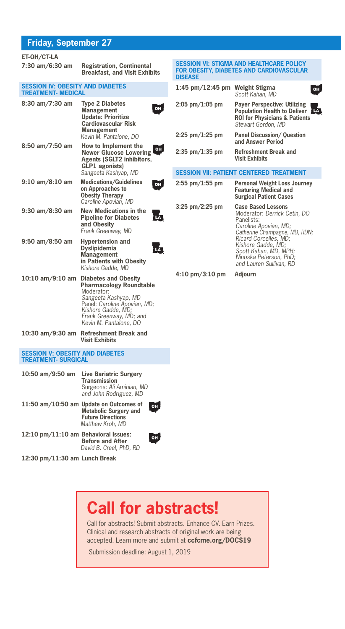#### **Friday, September 27**

**ET-OH/CT-LA**

| ET-OH/CT-LA                                                          |                                                                                                                                                                                                                |                           |
|----------------------------------------------------------------------|----------------------------------------------------------------------------------------------------------------------------------------------------------------------------------------------------------------|---------------------------|
| 7:30 am/6:30 am                                                      | <b>Registration, Continental</b><br><b>Breakfast, and Visit Exhibits</b>                                                                                                                                       | SES<br><b>FOR</b><br>disi |
| <b>SESSION IV: OBESITY AND DIABETES</b><br><b>TREATMENT- MEDICAL</b> |                                                                                                                                                                                                                | 1:4                       |
| 8:30 am/7:30 am                                                      | <b>Type 2 Diabetes</b><br>OH<br><b>Management</b><br><b>Update: Prioritize</b><br><b>Cardiovascular Risk</b><br><b>Management</b><br>Kevin M. Pantalone, DO                                                    | 2:0!<br>2:2!              |
| 8:50 am/7:50 am                                                      | How to Implement the<br>OH<br><b>Newer Glucose Lowering</b><br>Agents (SGLT2 inhibitors,<br><b>GLP1</b> agonists)<br>Sangeeta Kashyap, MD                                                                      | 2:3!<br>SES               |
| 9:10 am/8:10 am                                                      | <b>Medications/Guidelines</b><br>OH<br>on Approaches to<br><b>Obesity Therapy</b><br>Caroline Apovian, MD                                                                                                      | 2:5!                      |
| 9:30 am/8:30 am                                                      | <b>New Medications in the</b><br>LA,<br><b>Pipeline for Diabetes</b><br>and Obesity<br>Frank Greenway, MD                                                                                                      | 3:2!                      |
| 9:50 am/8:50 am                                                      | <b>Hypertension and</b><br>Ы<br><b>Dyslipidemia</b><br><b>Management</b><br>in Patients with Obesity<br>Kishore Gadde, MD                                                                                      |                           |
| 10:10 am/9:10 am                                                     | <b>Diabetes and Obesity</b><br><b>Pharmacology Roundtable</b><br>Moderator:<br>Sangeeta Kashyap, MD<br>Panel: Caroline Apovian, MD;<br>Kishore Gadde, MD;<br>Frank Greenway, MD; and<br>Kevin M. Pantalone, DO | 4:1                       |
| 10:30 am/9:30 am                                                     | <b>Refreshment Break and</b><br><b>Visit Exhibits</b>                                                                                                                                                          |                           |
| <b>SESSION V: OBESITY AND DIABETES</b><br><b>TREATMENT- SURGICAL</b> |                                                                                                                                                                                                                |                           |
| 10:50 am/9:50 am                                                     | <b>Live Bariatric Surgery</b><br><b>Transmission</b><br>Surgeons: Ali Aminian, MD<br>and John Rodriguez, MD                                                                                                    |                           |
|                                                                      | 11:50 am/10:50 am Update on Outcomes of<br>OH<br>Metabolic Surgery and<br><b>Future Directions</b><br>Matthew Kroh, MD                                                                                         |                           |
| 12:10 pm/11:10 am Behavioral Issues:                                 | OH<br><b>Before and After</b><br>David B. Creel, PhD, RD                                                                                                                                                       |                           |

**12:30 pm/11:30 am Lunch Break**

| <b>DISEASE</b>    | <b>SESSION VI: STIGMA AND HEALTHCARE POLICY</b><br><b>FOR OBESITY, DIABETES AND CARDIOVASCULAR</b>                                                                                                                                  |
|-------------------|-------------------------------------------------------------------------------------------------------------------------------------------------------------------------------------------------------------------------------------|
| 1:45 pm/12:45 pm  | Weight Stigma<br>Scott Kahan, MD                                                                                                                                                                                                    |
| $2:05$ pm/1:05 pm | <b>Payer Perspective: Utilizing</b><br>Population Health to Deliver<br><b>ROI for Physicians &amp; Patients</b><br>Stewart Gordon, MD                                                                                               |
| $2:25$ pm/1:25 pm | <b>Panel Discussion/ Question</b><br>and Answer Period                                                                                                                                                                              |
| $2:35$ pm/1:35 pm | Refreshment Break and<br><b>Visit Exhibits</b>                                                                                                                                                                                      |
|                   | <b>SESSION VII: PATIENT CENTERED TREATMENT</b>                                                                                                                                                                                      |
| $2:55$ pm/1:55 pm | <b>Personal Weight Loss Journey</b><br><b>Featuring Medical and</b><br><b>Surgical Patient Cases</b>                                                                                                                                |
| $3:25$ pm/2:25 pm | <b>Case Based Lessons</b><br>Moderator: Derrick Cetin, DO<br>Panelists:<br>Caroline Apovian, MD;<br>Catherine Champagne, MD, RDN;<br>Ricard Corcelles, MD;<br>Kishore Gadde, MD;<br>Scott Kahan, MD, MPH;<br>Ninoska Peterson, PhD; |

*and Lauren Sullivan, RD*

**4:10 pm/3:10 pm Adjourn**

## **Call for abstracts!**

Call for abstracts! Submit abstracts. Enhance CV. Earn Prizes. Clinical and research abstracts of original work are being accepted. Learn more and submit at **ccfcme.org/DOCS19**

Submission deadline: August 1, 2019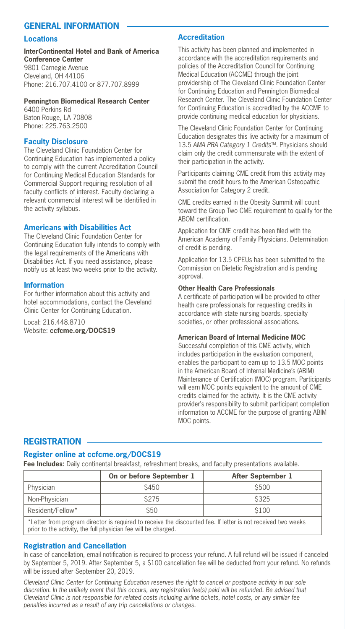#### **General Information**

#### **Locations**

**InterContinental Hotel and Bank of America Conference Center**  9801 Carnegie Avenue Cleveland, OH 44106 Phone: 216.707.4100 or 877.707.8999

#### **Pennington Biomedical Research Center**

6400 Perkins Rd Baton Rouge, LA 70808 Phone: 225.763.2500

#### **Faculty Disclosure**

The Cleveland Clinic Foundation Center for Continuing Education has implemented a policy to comply with the current Accreditation Council for Continuing Medical Education Standards for Commercial Support requiring resolution of all faculty conflicts of interest. Faculty declaring a relevant commercial interest will be identified in the activity syllabus.

#### **Americans with Disabilities Act**

The Cleveland Clinic Foundation Center for Continuing Education fully intends to comply with the legal requirements of the Americans with Disabilities Act. If you need assistance, please notify us at least two weeks prior to the activity.

#### **Information**

For further information about this activity and hotel accommodations, contact the Cleveland Clinic Center for Continuing Education.

Local: 216.448.8710 Website: **ccfcme.org/DOCS19**

#### **Accreditation**

This activity has been planned and implemented in accordance with the accreditation requirements and policies of the Accreditation Council for Continuing Medical Education (ACCME) through the joint providership of The Cleveland Clinic Foundation Center for Continuing Education and Pennington Biomedical Research Center. The Cleveland Clinic Foundation Center for Continuing Education is accredited by the ACCME to provide continuing medical education for physicians.

The Cleveland Clinic Foundation Center for Continuing Education designates this live activity for a maximum of 13.5 *AMA PRA Category 1 Credits*TM. Physicians should claim only the credit commensurate with the extent of their participation in the activity.

Participants claiming CME credit from this activity may submit the credit hours to the American Osteopathic Association for Category 2 credit.

CME credits earned in the Obesity Summit will count toward the Group Two CME requirement to qualify for the ABOM certification.

Application for CME credit has been filed with the American Academy of Family Physicians. Determination of credit is pending.

Application for 13.5 CPEUs has been submitted to the Commission on Dietetic Registration and is pending approval.

#### **Other Health Care Professionals**

A certificate of participation will be provided to other health care professionals for requesting credits in accordance with state nursing boards, specialty societies, or other professional associations.

#### **American Board of Internal Medicine MOC**

Successful completion of this CME activity, which includes participation in the evaluation component, enables the participant to earn up to 13.5 MOC points in the American Board of Internal Medicine's (ABIM) Maintenance of Certification (MOC) program. Participants will earn MOC points equivalent to the amount of CME credits claimed for the activity. It is the CME activity provider's responsibility to submit participant completion information to ACCME for the purpose of granting ABIM MOC points.

#### **Registration**

#### **Register online at ccfcme.org/DOCS19**

**Fee Includes:** Daily continental breakfast, refreshment breaks, and faculty presentations available.

|                  | On or before September 1 | After September 1 |  |
|------------------|--------------------------|-------------------|--|
| Physician        | S450                     | <b>S500</b>       |  |
| Non-Physician    | \$275                    | <b>\$325</b>      |  |
| Resident/Fellow* | \$50                     | \$100             |  |
|                  |                          |                   |  |

\*Letter from program director is required to receive the discounted fee. If letter is not received two weeks prior to the activity, the full physician fee will be charged.

#### **Registration and Cancellation**

In case of cancellation, email notification is required to process your refund. A full refund will be issued if canceled by September 5, 2019. After September 5, a \$100 cancellation fee will be deducted from your refund. No refunds will be issued after September 20, 2019.

*Cleveland Clinic Center for Continuing Education reserves the right to cancel or postpone activity in our sole*  discretion. In the unlikely event that this occurs, any registration fee(s) paid will be refunded. Be advised that *Cleveland Clinic is not responsible for related costs including airline tickets, hotel costs, or any similar fee penalties incurred as a result of any trip cancellations or changes.*